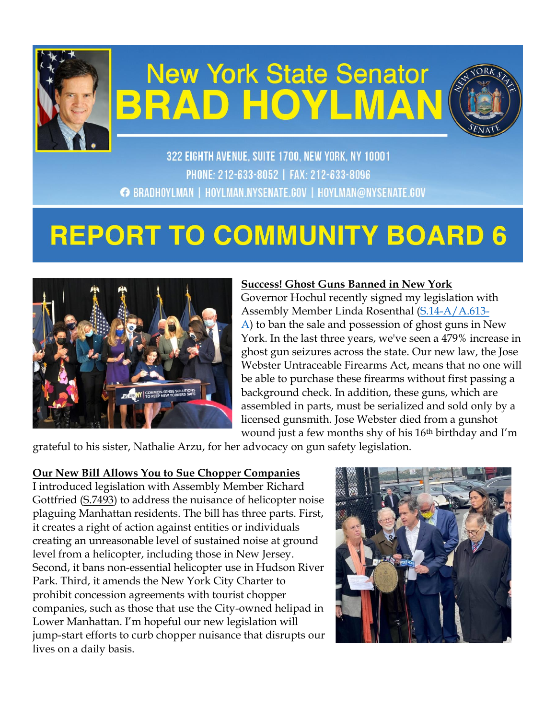

# **New York State Senator BRAD HOYLMAN**



322 EIGHTH AVENUE, SUITE 1700, NEW YORK, NY 10001 PHONE: 212-633-8052 | FAX: 212-633-8096 ← BRADHOYLMAN | HOYLMAN.NYSENATE.GOV | HOYLMAN@NYSENATE.GOV

# **REPORT TO COMMUNITY BOARD 6**



# **Success! Ghost Guns Banned in New York**

Governor Hochul recently signed my legislation with Assembly Member Linda Rosenthal [\(S.14-A/A.613-](https://www.nysenate.gov/legislation/bills/2021/s14) [A\)](https://www.nysenate.gov/legislation/bills/2021/s14) to ban the sale and possession of ghost guns in New York. In the last three years, we've seen a 479% increase in ghost gun seizures across the state. Our new law, the Jose Webster Untraceable Firearms Act, means that no one will be able to purchase these firearms without first passing a background check. In addition, these guns, which are assembled in parts, must be serialized and sold only by a licensed gunsmith. Jose Webster died from a gunshot wound just a few months shy of his 16th birthday and I'm

grateful to his sister, Nathalie Arzu, for her advocacy on gun safety legislation.

#### **Our New Bill Allows You to Sue Chopper Companies**

I introduced legislation with Assembly Member Richard Gottfried [\(S.7493\)](https://www.nysenate.gov/legislation/bills/2021/S7493) to address the nuisance of helicopter noise plaguing Manhattan residents. The bill has three parts. First, it creates a right of action against entities or individuals creating an unreasonable level of sustained noise at ground level from a helicopter, including those in New Jersey. Second, it bans non-essential helicopter use in Hudson River Park. Third, it amends the New York City Charter to prohibit concession agreements with tourist chopper companies, such as those that use the City-owned helipad in Lower Manhattan. I'm hopeful our new legislation will jump-start efforts to curb chopper nuisance that disrupts our lives on a daily basis.

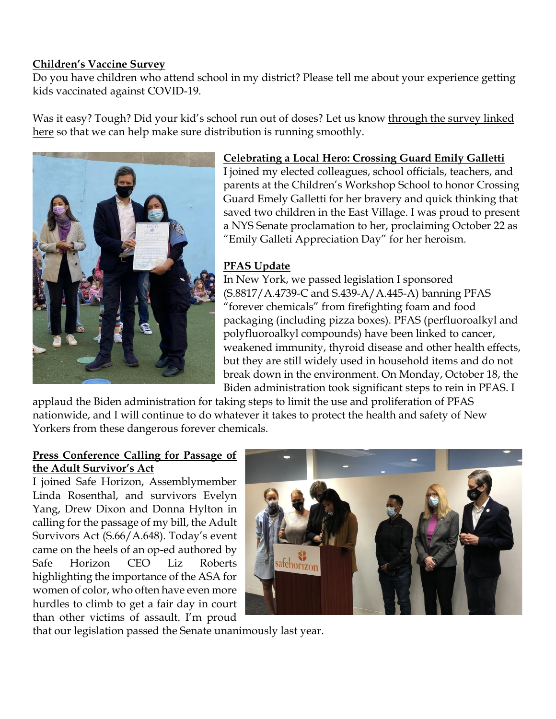#### **Children's Vaccine Survey**

Do you have children who attend school in my district? Please tell me about your experience getting kids vaccinated against COVID-19.

Was it easy? Tough? Did your kid's school run out of doses? Let us know through the [survey linked](https://docs.google.com/forms/d/e/1FAIpQLSfzmKP54QJ2ie9DRjbOZwY7tRQk6cwQFsqJWrxnQcc77XbETw/viewform)  [here](https://docs.google.com/forms/d/e/1FAIpQLSfzmKP54QJ2ie9DRjbOZwY7tRQk6cwQFsqJWrxnQcc77XbETw/viewform) so that we can help make sure distribution is running smoothly.



#### **Celebrating a Local Hero: Crossing Guard Emily Galletti**

I joined my elected colleagues, school officials, teachers, and parents at the Children's Workshop School to honor Crossing Guard Emely Galletti for her bravery and quick thinking that saved two children in the East Village. I was proud to present a NYS Senate proclamation to her, proclaiming October 22 as "Emily Galleti Appreciation Day" for her heroism.

# **PFAS Update**

In New York, we passed legislation I sponsored (S.8817/A.4739-C and S.439-A/A.445-A) banning PFAS "forever chemicals" from firefighting foam and food packaging (including pizza boxes). PFAS (perfluoroalkyl and polyfluoroalkyl compounds) have been linked to cancer, weakened immunity, thyroid disease and other health effects, but they are still widely used in household items and do not break down in the environment. On Monday, October 18, the Biden administration took significant steps to rein in PFAS. I

applaud the Biden administration for taking steps to limit the use and proliferation of PFAS nationwide, and I will continue to do whatever it takes to protect the health and safety of New Yorkers from these dangerous forever chemicals.

#### **Press Conference Calling for Passage of the Adult Survivor's Act**

I joined Safe Horizon, Assemblymember Linda Rosenthal, and survivors Evelyn Yang, Drew Dixon and Donna Hylton in calling for the passage of my bill, the Adult Survivors Act (S.66/A.648). Today's event came on the heels of an op-ed authored by Safe Horizon CEO Liz Roberts highlighting the importance of the ASA for women of color, who often have even more hurdles to climb to get a fair day in court than other victims of assault. I'm proud



that our legislation passed the Senate unanimously last year.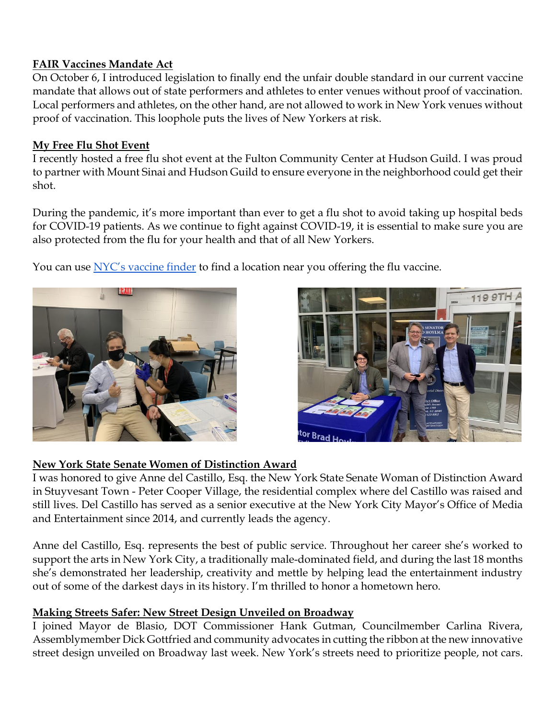# **FAIR Vaccines Mandate Act**

On October 6, I introduced legislation to finally end the unfair double standard in our current vaccine mandate that allows out of state performers and athletes to enter venues without proof of vaccination. Local performers and athletes, on the other hand, are not allowed to work in New York venues without proof of vaccination. This loophole puts the lives of New Yorkers at risk.

# **My Free Flu Shot Event**

I recently hosted a free flu shot event at the Fulton Community Center at Hudson Guild. I was proud to partner with Mount Sinai and Hudson Guild to ensure everyone in the neighborhood could get their shot.

During the pandemic, it's more important than ever to get a flu shot to avoid taking up hospital beds for COVID-19 patients. As we continue to fight against COVID-19, it is essential to make sure you are also protected from the flu for your health and that of all New Yorkers.

You can use [NYC's vaccine finder](https://vaccinefinder.nyc.gov/) to find a location near you offering the flu vaccine.





# **New York State Senate Women of Distinction Award**

I was honored to give Anne del Castillo, Esq. the New York State Senate Woman of Distinction Award in Stuyvesant Town - Peter Cooper Village, the residential complex where del Castillo was raised and still lives. Del Castillo has served as a senior executive at the New York City Mayor's Office of Media and Entertainment since 2014, and currently leads the agency.

Anne del Castillo, Esq. represents the best of public service. Throughout her career she's worked to support the arts in New York City, a traditionally male-dominated field, and during the last 18 months she's demonstrated her leadership, creativity and mettle by helping lead the entertainment industry out of some of the darkest days in its history. I'm thrilled to honor a hometown hero.

# **Making Streets Safer: New Street Design Unveiled on Broadway**

I joined Mayor de Blasio, DOT Commissioner Hank Gutman, Councilmember Carlina Rivera, Assemblymember Dick Gottfried and community advocates in cutting the ribbon at the new innovative street design unveiled on Broadway last week. New York's streets need to prioritize people, not cars.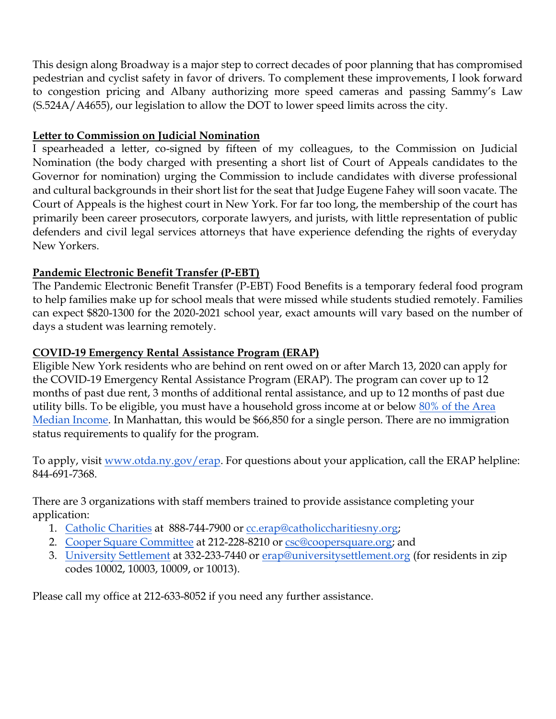This design along Broadway is a major step to correct decades of poor planning that has compromised pedestrian and cyclist safety in favor of drivers. To complement these improvements, I look forward to congestion pricing and Albany authorizing more speed cameras and passing Sammy's Law (S.524A/A4655), our legislation to allow the DOT to lower speed limits across the city.

# **Letter to Commission on Judicial Nomination**

I spearheaded a letter, co-signed by fifteen of my colleagues, to the Commission on Judicial Nomination (the body charged with presenting a short list of Court of Appeals candidates to the Governor for nomination) urging the Commission to include candidates with diverse professional and cultural backgrounds in their short list for the seat that Judge Eugene Fahey will soon vacate. The Court of Appeals is the highest court in New York. For far too long, the membership of the court has primarily been career prosecutors, corporate lawyers, and jurists, with little representation of public defenders and civil legal services attorneys that have experience defending the rights of everyday New Yorkers.

# **Pandemic Electronic Benefit Transfer (P-EBT)**

The Pandemic Electronic Benefit Transfer (P-EBT) Food Benefits is a temporary federal food program to help families make up for school meals that were missed while students studied remotely. Families can expect \$820-1300 for the 2020-2021 school year, exact amounts will vary based on the number of days a student was learning remotely.

# **COVID-19 Emergency Rental Assistance Program (ERAP)**

Eligible New York residents who are behind on rent owed on or after March 13, 2020 can apply for the COVID-19 Emergency Rental Assistance Program (ERAP). The program can cover up to 12 months of past due rent, 3 months of additional rental assistance, and up to 12 months of past due utility bills. To be eligible, you must have a household gross income at or below 80% of the Area [Median Income.](http://email.sts.nysenate.gov/ls/click?upn=g96IA9ndqFNX0tHFjJHDaMxgR3O7j0p3zxuSS4dR33V-2BpE1FeAMJ84CjBZzpXQACmuLOVQd8ppaHKPSH9vYEQGXyVEQy30QlkCx5o9tUVWwTjda6J7XJ7oX-2FOWmNMAAq_zIZ_-2F6aepOfT8JScA-2Fkg6X1ZMZwzW10RZlkJ2eSBgvfBbNTyp7i-2BrBgGYumYAN73elRBQEqbWseXngfkqmB0kMB4yhIWv6oBlHi7bplbzbz0HDqs0A8Uv-2FWaCRbMg0XihbrWxAkAk9aRXJZ5F83ATHVqFqPEauP01sAUZYMaOeWx88qxuoTVJDRitHgIriQ9qR6GfDnwaAmpldTr0tBvZo5ZHNt-2B-2Fr-2FikqTT2bv9JUFlOIGuZ-2B86Qgxehy5Ub92-2FkrzlO1j-2Bo-2B3CL8GiwVveeomrOkx3-2BxeFkI8h-2BdIKLdnYlkZxM-2BDak2b7b3uvUV9mIsw4PHZtOm9DIqa4IV73ka5sOPir-2BY74-2F7v0hfnh6ndf8zRERiCejINUSEHTF9cCDtZc7v4Y1d1XfDrjSYeaEY9Y1R6eQszVABocpA4NJMppTqokZ7liJ6RyXqfMjLSE-2FNoXl2mdxBEY2-2Bi-2FQwPf51SwLLybQhAfu7O8atyC3JnybB5gGyU9RfdCCfReKRmGhVx-2BkdaZzi6y4izpoCtOCgyv3tm6nlh3UnepEuJkBFfsgYs-3D) In Manhattan, this would be \$66,850 for a single person. There are no immigration status requirements to qualify for the program.

To apply, visit [www.otda.ny.gov/erap.](http://email.sts.nysenate.gov/ls/click?upn=ahEQnOp50G3Go6bAsxDY-2BBEn-2BtHW2LQKi-2FH0VFcZpHbT2sBPXJioPD4sH65OJ1iCYfem_-2F6aepOfT8JScA-2Fkg6X1ZMZwzW10RZlkJ2eSBgvfBbNTyp7i-2BrBgGYumYAN73elRBQEqbWseXngfkqmB0kMB4yhIWv6oBlHi7bplbzbz0HDqs0A8Uv-2FWaCRbMg0XihbrWxAkAk9aRXJZ5F83ATHVqFqPEauP01sAUZYMaOeWx88qxuoTVJDRitHgIriQ9qR6GfDnwaAmpldTr0tBvZo5ZHNt-2B-2Fr-2FikqTT2bv9JUFlOIGuZ-2B86Qgxehy5Ub92-2FkrzlO1j-2Bo-2B3CL8GiwVveeomrOkx3-2BxeFkI8h-2BdIKLdnYlkaYT61HQevoWXxxtTJiHRv9X1EW8GrbiNJKuJ-2BP3OQkIoSHfU9X3SWuJXXXuuo-2BXRzSt0uCcTig-2FWdfWoRiv585xw-2FCVFIRKv4lj4tVIVod2ReLAUupu4L024RtAlWfpy6wNc3EqlzMkslTNNv6X4XwnCYZCj6uYKOUzFA-2BOEM-2BUlnNbbHadUAEEagcDiHPfll8w6p8wrxsDR60Z-2BEJgPPJSkKpyQWQXzgnbQV0PKvCbITwMBmMA6isTZhbIdDK7AE-3D) For questions about your application, call the ERAP helpline: 844-691-7368.

There are 3 organizations with staff members trained to provide assistance completing your application:

- 1. [Catholic Charities](http://email.sts.nysenate.gov/ls/click?upn=CZ4cV7oOwL72XrFUDkDZ-2F-2Fm9rzztwamV5CRzVZlaN7ZTzqhdTqKxzRYIkivjjZc6Mb9crQ1u68KP4PsqbD5Px7oMAvX0gdF1Gcqiyicanxg-3DMLzS_-2F6aepOfT8JScA-2Fkg6X1ZMZwzW10RZlkJ2eSBgvfBbNTyp7i-2BrBgGYumYAN73elRBQEqbWseXngfkqmB0kMB4yhIWv6oBlHi7bplbzbz0HDqs0A8Uv-2FWaCRbMg0XihbrWxAkAk9aRXJZ5F83ATHVqFqPEauP01sAUZYMaOeWx88qxuoTVJDRitHgIriQ9qR6GfDnwaAmpldTr0tBvZo5ZHNt-2B-2Fr-2FikqTT2bv9JUFlOIGuZ-2B86Qgxehy5Ub92-2FkrzlO1j-2Bo-2B3CL8GiwVveeomrOkx3-2BxeFkI8h-2BdIKLdnYlkb939G8QlbytHZdFAmoJRsyUFRaSRrgnN00ovX2TpPbBJSA2JDwL49EF-2F5MuDnEfYhfIYIk8nzdlNc4MVtAEbGo0ICQKK6UmbHxn7DinvPquQUzlFWQU49LlonQTNtrBrJJB7wcVkG2e1qMtGXCVGKKRuWmOcoL11Oqq34pIRXVsiiknoQS4Kw1rfaXhiyrztQkv77QdAWJXR7P7zNyEdoCrDt-2FY-2Fh-2Fi5QtnISfJVqep9od6-2FEKspSiKWFQV3tfWJs-3D) at 888-744-7900 or [cc.erap@catholiccharitiesny.org;](mailto:cc.erap@catholiccharitiesny.org)
- 2. [Cooper Square Committee](http://email.sts.nysenate.gov/ls/click?upn=NXoW66Uxq2lz19nq-2B3B6OB-2F2uJLh-2FCIjmkCW-2FrDwjVk-3DCA2J_-2F6aepOfT8JScA-2Fkg6X1ZMZwzW10RZlkJ2eSBgvfBbNTyp7i-2BrBgGYumYAN73elRBQEqbWseXngfkqmB0kMB4yhIWv6oBlHi7bplbzbz0HDqs0A8Uv-2FWaCRbMg0XihbrWxAkAk9aRXJZ5F83ATHVqFqPEauP01sAUZYMaOeWx88qxuoTVJDRitHgIriQ9qR6GfDnwaAmpldTr0tBvZo5ZHNt-2B-2Fr-2FikqTT2bv9JUFlOIGuZ-2B86Qgxehy5Ub92-2FkrzlO1j-2Bo-2B3CL8GiwVveeomrOkx3-2BxeFkI8h-2BdIKLdnYlkb-2Btt75nctPbKYS2qtlSpo1rkeRmrPggMWBgYQ1GdhdUA5LMFuDgC2JUyJGocqo27lRD8l9WkTWzp4Gm1GsUVsthO7IrJk2Ggqf6afCvFn-2BZcNTMDCDAPoR115upZQwxXI-2BN8aCtwvEPI2r8Nu0x1EStMHlLM2IXBrVctLasu-2Bripmb-2B53E5w-2BATKB-2Fn4QP4t-2BHaV9IakHXDOMNPyII1xhTvLGaIz-2BsgaQzk8kA6R7zjXc-2FnnA-2FKpddK2a7sfp6-2FdQ-3D) at 212-228-8210 or [csc@coopersquare.org;](mailto:csc@coopersquare.org) and
- 3. [University Settlement](http://email.sts.nysenate.gov/ls/click?upn=ahEQnOp50G3Go6bAsxDY-2BBJuxfg32PJv14nuR5H2n1d72X7Xt8q2Gnh4Expicz4tPUW__-2F6aepOfT8JScA-2Fkg6X1ZMZwzW10RZlkJ2eSBgvfBbNTyp7i-2BrBgGYumYAN73elRBQEqbWseXngfkqmB0kMB4yhIWv6oBlHi7bplbzbz0HDqs0A8Uv-2FWaCRbMg0XihbrWxAkAk9aRXJZ5F83ATHVqFqPEauP01sAUZYMaOeWx88qxuoTVJDRitHgIriQ9qR6GfDnwaAmpldTr0tBvZo5ZHNt-2B-2Fr-2FikqTT2bv9JUFlOIGuZ-2B86Qgxehy5Ub92-2FkrzlO1j-2Bo-2B3CL8GiwVveeomrOkx3-2BxeFkI8h-2BdIKLdnYlkbR4trfn2-2FRSwhD4qZlHp9go3If1nFIphfoOshNtE0tUeVmUJ-2FWGnHAr-2FLaOtkIJLbCTmbrssSYtOuiRGEcH254Io5yz5G8nEJiS7WuYdb4L-2Bf-2F4CoXJ10KgOUpMwxfeXSZteV25syqx5wgBZ55nvdrM0VjmMRrno9BAYGMpFNJo-2Bj-2BLb280dSOnQeV9OMzLMe51ruxX8XJBliTLUD1yBTGdIl1El9efVVuUHtsoyaqrP-2BNbgiIkEUzyUIJnoKJ9w8-3D) at 332-233-7440 or [erap@universitysettlement.org](mailto:erap@universitysettlement.org) (for residents in zip codes 10002, 10003, 10009, or 10013).

Please call my office at 212-633-8052 if you need any further assistance.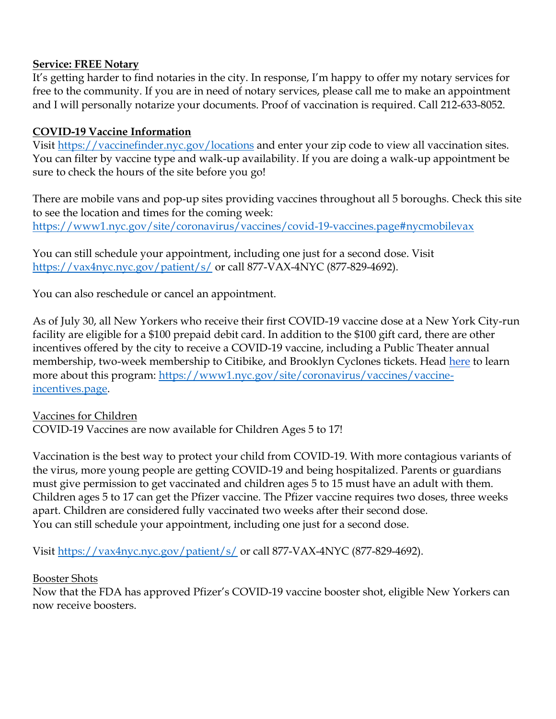#### **Service: FREE Notary**

It's getting harder to find notaries in the city. In response, I'm happy to offer my notary services for free to the community. If you are in need of notary services, please call me to make an appointment and I will personally notarize your documents. Proof of vaccination is required. Call 212-633-8052.

# **COVID-19 Vaccine Information**

Visit [https://vaccinefinder.nyc.gov/locations](http://email.sts.nysenate.gov/ls/click?upn=okrevnDuMx7BRChkkqyi7OLHT7hRS-2BEB7HLIgUcgOhw743Fge7heu787TW73GauIVsgf_teUpoUEouv1PFf-2BShOzaa6uzqOVlJOT2C0Rj-2FiXwpA0yA80oY2sde0ABwFEEUXRjpXAVl2iBKtRSjg2YJ3RqJkVr56cWEiH70-2B1RPxk5JWvEEEMBjf1GKN4jtCi8qIB913ex7skFExztjiRaPEQRigRGlO51SzlmC2ldWB-2Fv-2FMkywApUBlPeOeCEPj2-2BzYlBRolmLpfqQTnmfjT5OmDmadD4A9DVlZPKrKM-2F6vEZSsFjd6yM0FExDmIciE3hoIzCM14DVW8q2zAeRgL66h5r-2BW-2B7n-2B0Vwr1u8604CWRcR90XJ-2FoY03Id2YZZHu8jqMFZFDw7ArZnjPEAeJyxG6NL9leh2lofwx1RobtTG7EC2XQSXpgc64SwCTWssy7swYkknExBkmyB4lskDCajbzwVCSeivjCRq7WqO9s0EjqZ5YfbTfPInNrZ4MwHApmGSoH1BtDApeBYkXFXYKjrqujjXOAb1uqnfXLxSss7GZHkwsd8O6LksCJvLCSz-2B8W72H9DmbQtPQWkaHA2cuX1bLpUS2EUDpsULD05Z7YNs5V8Fgc-3D) and enter your zip code to view all vaccination sites. You can filter by vaccine type and walk-up availability. If you are doing a walk-up appointment be sure to check the hours of the site before you go!

There are mobile vans and pop-up sites providing vaccines throughout all 5 boroughs. Check this site to see the location and times for the coming week: [https://www1.nyc.gov/site/coronavirus/vaccines/covid-19-vaccines.page#nycmobilevax](http://email.sts.nysenate.gov/ls/click?upn=-2FUeB4rNcocRHNJExEbkInhmgg2hkCiG8LCEu-2F6nqR0VJkBrd24q2GWDf9IOX9njUaSULQngbQ13oV3iJx3tzfR2py6bUzC4IJw64Jv556h074CJej6BmlknzKx-2FgLU6Q89w7_teUpoUEouv1PFf-2BShOzaa6uzqOVlJOT2C0Rj-2FiXwpA0yA80oY2sde0ABwFEEUXRjpXAVl2iBKtRSjg2YJ3RqJkVr56cWEiH70-2B1RPxk5JWvEEEMBjf1GKN4jtCi8qIB913ex7skFExztjiRaPEQRigRGlO51SzlmC2ldWB-2Fv-2FMkywApUBlPeOeCEPj2-2BzYlBRolmLpfqQTnmfjT5OmDmadD4A9DVlZPKrKM-2F6vEZSsFjd6yM0FExDmIciE3hoIzCM14DVW8q2zAeRgL66h5r-2BW-2B7n-2B0Vwr1u8604CWRcR91cddf5SUUBLPD-2BSQhgkILp8lYHbptQxDsKJ8WDq0VMlWyBdayEmSbrfsun0hjMQSvvoy0uQaedmGSgEG-2Fg25KU-2BIJ05DbuCpuIWHHcNPfj8LNlDRltuhesH9trmetj08AF8HpiXfdhX6XBueWK12g2PCBNaNqHL0fM97ukS6KNSQ0DU2IyS6e4rXCYsXWk7b-2BOJa4CLBqzB4G8NPR0CjPBx4wf5wT81WrhvCgSkpnJNk1-2B6fWCzxaVIR0rU5OrT5U-3D) 

You can still schedule your appointment, including one just for a second dose. Visit [https://vax4nyc.nyc.gov/patient/s/](http://email.sts.nysenate.gov/ls/click?upn=okrevnDuMx7BRChkkqyi7B1xFhkvs8g35I3JvFhNen8sHCi-2Fr2lrpJuFM1AFl2xj3GPc_teUpoUEouv1PFf-2BShOzaa6uzqOVlJOT2C0Rj-2FiXwpA0yA80oY2sde0ABwFEEUXRjpXAVl2iBKtRSjg2YJ3RqJkVr56cWEiH70-2B1RPxk5JWvEEEMBjf1GKN4jtCi8qIB913ex7skFExztjiRaPEQRigRGlO51SzlmC2ldWB-2Fv-2FMkywApUBlPeOeCEPj2-2BzYlBRolmLpfqQTnmfjT5OmDmadD4A9DVlZPKrKM-2F6vEZSsFjd6yM0FExDmIciE3hoIzCM14DVW8q2zAeRgL66h5r-2BW-2B7n-2B0Vwr1u8604CWRcR92ilMHEev0fWeZTM4-2Bzx8TgBJqV8chG1wJBHBXjGMn0iAfN3BxKuTTJbnUMKsS6X5XOf27ZJzjtMsNPcA9xBfQFLPoUdSRZP84QWWaKa2V09wfIPfml3Xp-2F2opOG3ZyQP5hIdXUE7uWT8LbL5Y1K8pD8DDPqQD-2FUiTiNB5A17uiZ-2BxggOKpmlubLH5DIT6dnv2ixJvPKR6Rm9h2dWxFdIr7r8KrKDoCAPZxNgjlMvgZa3HzAsDEY5pDiemlPpkkstI-3D) or call 877-VAX-4NYC (877-829-4692).

You can also reschedule or cancel an appointment.

As of July 30, all New Yorkers who receive their first COVID-19 vaccine dose at a New York City-run facility are eligible for a \$100 prepaid debit card. In addition to the \$100 gift card, there are other incentives offered by the city to receive a COVID-19 vaccine, including a Public Theater annual membership, two-week membership to Citibike, and Brooklyn Cyclones tickets. Head [here](https://www1.nyc.gov/site/coronavirus/vaccines/vaccine-incentives.page) to learn more about this program: [https://www1.nyc.gov/site/coronavirus/vaccines/vaccine](https://www1.nyc.gov/site/coronavirus/vaccines/vaccine-incentives.page)[incentives.page.](https://www1.nyc.gov/site/coronavirus/vaccines/vaccine-incentives.page)

#### Vaccines for Children

COVID-19 Vaccines are now available for Children Ages 5 to 17!

Vaccination is the best way to protect your child from COVID-19. With more contagious variants of the virus, more young people are getting COVID-19 and being hospitalized. Parents or guardians must give permission to get vaccinated and children ages 5 to 15 must have an adult with them. Children ages 5 to 17 can get the Pfizer vaccine. The Pfizer vaccine requires two doses, three weeks apart. Children are considered fully vaccinated two weeks after their second dose. You can still schedule your appointment, including one just for a second dose.

Visit [https://vax4nyc.nyc.gov/patient/s/](http://email.sts.nysenate.gov/ls/click?upn=okrevnDuMx7BRChkkqyi7B1xFhkvs8g35I3JvFhNen8sHCi-2Fr2lrpJuFM1AFl2xj3GPc_teUpoUEouv1PFf-2BShOzaa6uzqOVlJOT2C0Rj-2FiXwpA0yA80oY2sde0ABwFEEUXRjpXAVl2iBKtRSjg2YJ3RqJkVr56cWEiH70-2B1RPxk5JWvEEEMBjf1GKN4jtCi8qIB913ex7skFExztjiRaPEQRigRGlO51SzlmC2ldWB-2Fv-2FMkywApUBlPeOeCEPj2-2BzYlBRolmLpfqQTnmfjT5OmDmadD4A9DVlZPKrKM-2F6vEZSsFjd6yM0FExDmIciE3hoIzCM14DVW8q2zAeRgL66h5r-2BW-2B7n-2B0Vwr1u8604CWRcR92ilMHEev0fWeZTM4-2Bzx8TgBJqV8chG1wJBHBXjGMn0iAfN3BxKuTTJbnUMKsS6X5XOf27ZJzjtMsNPcA9xBfQFLPoUdSRZP84QWWaKa2V09wfIPfml3Xp-2F2opOG3ZyQP5hIdXUE7uWT8LbL5Y1K8pD8DDPqQD-2FUiTiNB5A17uiZ-2BxggOKpmlubLH5DIT6dnv2ixJvPKR6Rm9h2dWxFdIr7r8KrKDoCAPZxNgjlMvgZa3HzAsDEY5pDiemlPpkkstI-3D) or call 877-VAX-4NYC (877-829-4692).

#### Booster Shots

Now that the FDA has approved Pfizer's COVID-19 vaccine booster shot, eligible New Yorkers can now receive boosters.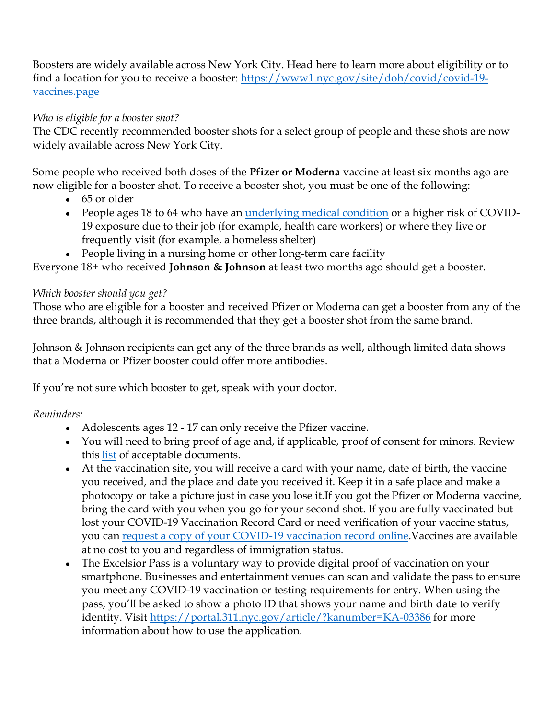Boosters are widely available across New York City. Head here to learn more about eligibility or to find a location for you to receive a booster: [https://www1.nyc.gov/site/doh/covid/covid-19](https://www1.nyc.gov/site/doh/covid/covid-19-vaccines.page) [vaccines.page](https://www1.nyc.gov/site/doh/covid/covid-19-vaccines.page)

# *Who is eligible for a booster shot?*

The CDC recently recommended booster shots for a select group of people and these shots are now widely available across New York City.

Some people who received both doses of the **Pfizer or Moderna** vaccine at least six months ago are now eligible for a booster shot. To receive a booster shot, you must be one of the following:

- 65 or older
- People ages 18 to 64 who have an <u>underlying medical condition</u> or a higher risk of COVID-19 exposure due to their job (for example, health care workers) or where they live or frequently visit (for example, a homeless shelter)
- People living in a nursing home or other long-term care facility

Everyone 18+ who received **Johnson & Johnson** at least two months ago should get a booster.

# *Which booster should you get?*

Those who are eligible for a booster and received Pfizer or Moderna can get a booster from any of the three brands, although it is recommended that they get a booster shot from the same brand.

Johnson & Johnson recipients can get any of the three brands as well, although limited data shows that a Moderna or Pfizer booster could offer more antibodies.

If you're not sure which booster to get, speak with your doctor.

# *Reminders:*

- Adolescents ages 12 17 can only receive the Pfizer vaccine.
- You will need to bring proof of age and, if applicable, proof of consent for minors. Review this [list](http://email.sts.nysenate.gov/ls/click?upn=-2FUeB4rNcocRHNJExEbkInhmgg2hkCiG8LCEu-2F6nqR0Wm1Nv4FMIhIauPvWo5ENkV7BZU6RV8GB7td28Bg22zB8EmKL80WCTttXTa5G-2Fbcjc-3DRVhY_teUpoUEouv1PFf-2BShOzaa6uzqOVlJOT2C0Rj-2FiXwpA0yA80oY2sde0ABwFEEUXRjpXAVl2iBKtRSjg2YJ3RqJkVr56cWEiH70-2B1RPxk5JWvEEEMBjf1GKN4jtCi8qIB913ex7skFExztjiRaPEQRigRGlO51SzlmC2ldWB-2Fv-2FMkywApUBlPeOeCEPj2-2BzYlBRolmLpfqQTnmfjT5OmDmadD4A9DVlZPKrKM-2F6vEZSsFjd6yM0FExDmIciE3hoIzCM14DVW8q2zAeRgL66h5r-2BW-2B7n-2B0Vwr1u8604CWRcR93eg6B5Hmb9b7hnB2x3dyP2TY57-2Bnn-2BIQaWxg31ij9fVh0Iv3rE6zsCOg-2Bz4pfOd0QiLYrjXEoVwsxEHo1C0zBAbEtj4v-2Fj5L31fnVYtrSa6yBFuY9qORQmEMtCXtztQ8u25vnT-2FjOpVFQCgaDQe2Q2MZz48HijGyFjoTMPFG8Is-2F3FYEhzpN5D-2FdCt-2B2NQSBsWJObab6z1ys2JZGicjJu-2B07NwKML-2FuHAicPkDeh0AorZG-2FlaPGmG7fmzlLPWEmC4-3D) of acceptable documents.
- At the vaccination site, you will receive a card with your name, date of birth, the vaccine you received, and the place and date you received it. Keep it in a safe place and make a photocopy or take a picture just in case you lose it.If you got the Pfizer or Moderna vaccine, bring the card with you when you go for your second shot. If you are fully vaccinated but lost your COVID-19 Vaccination Record Card or need verification of your vaccine status, you can [request a copy of your COVID-19 vaccination record online.](http://email.sts.nysenate.gov/ls/click?upn=-2FUeB4rNcocRHNJExEbkInhmgg2hkCiG8LCEu-2F6nqR0Wkkh28nF0sPBQISrlIQ0dYqaUaARWS3ZXOpNVA8r5U0b3pmNPt50GjV4cWBOV-2Fa-2F4-3DIb31_teUpoUEouv1PFf-2BShOzaa6uzqOVlJOT2C0Rj-2FiXwpA0yA80oY2sde0ABwFEEUXRjpXAVl2iBKtRSjg2YJ3RqJkVr56cWEiH70-2B1RPxk5JWvEEEMBjf1GKN4jtCi8qIB913ex7skFExztjiRaPEQRigRGlO51SzlmC2ldWB-2Fv-2FMkywApUBlPeOeCEPj2-2BzYlBRolmLpfqQTnmfjT5OmDmadD4A9DVlZPKrKM-2F6vEZSsFjd6yM0FExDmIciE3hoIzCM14DVW8q2zAeRgL66h5r-2BW-2B7n-2B0Vwr1u8604CWRcR90IApi1pdciz4NiGcILAKrnD1EbQTG12PcGXBBM3HYVOyr4S3LwPgrrTcUybJ7Yu8NnBOCDNlMaRc4gt485uN-2F7SK2kxaWcXxNMKv4JzNTxiJsIAE2Oyy6-2FygMze0vuAKh-2B79gJ8pGheHpsS-2BBzPl3e95eBYXNpBpqVkVkv3Fn9paxf1mAEeqYhxfkIjkq9uy6q8Y9ntv0PyTOCpe9sX-2F6CkmFVwkKjQiRUpVhzQMFuxgUIX8caACHEL7mnBjoXtIk-3D)Vaccines are available at no cost to you and regardless of immigration status.
- The Excelsior Pass is a voluntary way to provide digital proof of vaccination on your smartphone. Businesses and entertainment venues can scan and validate the pass to ensure you meet any COVID-19 vaccination or testing requirements for entry. When using the pass, you'll be asked to show a photo ID that shows your name and birth date to verify identity. Visit [https://portal.311.nyc.gov/article/?kanumber=KA-03386](http://email.sts.nysenate.gov/ls/click?upn=RZTTqG0zCLl0CdicihKzYyVqmYQAeQYqvPn0uiYAdCe288fU8evaQaUFw8jioCLhMCP273X-2FSkdNiGQYcGKMKg-3D-3DSU56_teUpoUEouv1PFf-2BShOzaa6uzqOVlJOT2C0Rj-2FiXwpA0yA80oY2sde0ABwFEEUXRjpXAVl2iBKtRSjg2YJ3RqJkVr56cWEiH70-2B1RPxk5JWvEEEMBjf1GKN4jtCi8qIB913ex7skFExztjiRaPEQRigRGlO51SzlmC2ldWB-2Fv-2FMkywApUBlPeOeCEPj2-2BzYlBRolmLpfqQTnmfjT5OmDmadD4A9DVlZPKrKM-2F6vEZSsFjd6yM0FExDmIciE3hoIzCM14DVW8q2zAeRgL66h5r-2BW-2B7n-2B0Vwr1u8604CWRcR90RCW0bBet75CVp2BaCbPqWFLCwZ4I43H-2BKW3Mg9hQHOGfCEz-2BHiIUabLZoHF0gjSgKQqYA2w3mCQAtNnxhw2FRhKsp4xCrMK0UbIGTvnzmBqkJ4L6awPyPQWcMCmjw7XSQXu2EGOQXbOY-2F9fRDTjkd5AawqchY1bdh0LLpw3yjEVqhpohlpx-2BDIULR8NZpgpYLb0XJERCvXm3lq7aaZIOHQf9eWmZMt2JItueQTb05cPNy5VIAr7PF1xxsIwwoVtA-3D) for more information about how to use the application.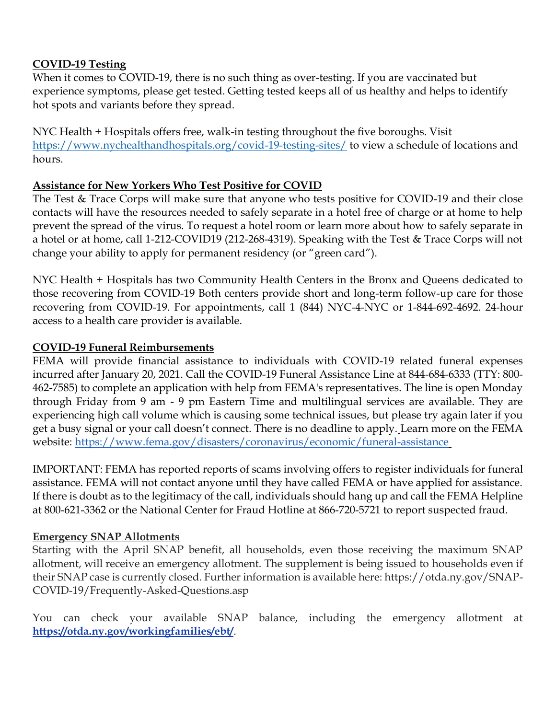#### **COVID-19 Testing**

When it comes to COVID-19, there is no such thing as over-testing. If you are vaccinated but experience symptoms, please get tested. Getting tested keeps all of us healthy and helps to identify hot spots and variants before they spread.

NYC Health + Hospitals offers free, walk-in testing throughout the five boroughs. Visit [https://www.nychealthandhospitals.org/covid-19-testing-sites/](http://email.sts.nysenate.gov/ls/click?upn=-2FUeB4rNcocRHNJExEbkInnfGx85XJ6EJuzL0dHOrMZpQ7jVoledRxDLGxl1YYShfaYfJ2cNtQ1QUgkMm8C6LnRKJZhPl-2FDuCwDnxcvVUjgA-3DCS-E_teUpoUEouv1PFf-2BShOzaa6uzqOVlJOT2C0Rj-2FiXwpA0yA80oY2sde0ABwFEEUXRjpXAVl2iBKtRSjg2YJ3RqJkVr56cWEiH70-2B1RPxk5JWvEEEMBjf1GKN4jtCi8qIB913ex7skFExztjiRaPEQRigRGlO51SzlmC2ldWB-2Fv-2FMkywApUBlPeOeCEPj2-2BzYlBRolmLpfqQTnmfjT5OmDmadD4A9DVlZPKrKM-2F6vEZSsFjd6yM0FExDmIciE3hoIzCM14DVW8q2zAeRgL66h5r-2BW-2B7n-2B0Vwr1u8604CWRcR92H7MSv1xiJB0iZnY2h394uTw68awkOSE6rrddFbKnWOLBPKehDC8VnYBgsCFrapY5fTrxzbaCVq6IECVCAvLOHTqvbGObDoQykqzJm7YDjuOF9sV-2F9mqyXD4Zjz5E4m7nUOYUWfeHKp-2B4JNX18JoAuII8sQ8TYUPkH8-2FyMk4LiilSGs6j4gI5NGt1GLaYvCgSdCLb-2BgXt77Mr-2BxgybzhvWkfUkHxUTZSeE1sSKst1P1d6yclOWgLcXTc5PNJz3Qks-3D) to view a schedule of locations and hours.

# **Assistance for New Yorkers Who Test Positive for COVID**

The Test & Trace Corps will make sure that anyone who tests positive for COVID-19 and their close contacts will have the resources needed to safely separate in a hotel free of charge or at home to help prevent the spread of the virus. To request a hotel room or learn more about how to safely separate in a hotel or at home, call 1-212-COVID19 (212-268-4319). Speaking with the Test & Trace Corps will not change your ability to apply for permanent residency (or "green card").

NYC Health + Hospitals has two Community Health Centers in the Bronx and Queens dedicated to those recovering from COVID-19 Both centers provide short and long-term follow-up care for those recovering from COVID-19. For appointments, call 1 (844) NYC-4-NYC or 1-844-692-4692. 24-hour access to a health care provider is available.

#### **COVID-19 Funeral Reimbursements**

FEMA will provide financial assistance to individuals with COVID-19 related funeral expenses incurred after January 20, 2021. Call the COVID-19 Funeral Assistance Line at 844-684-6333 (TTY: 800- 462-7585) to complete an application with help from FEMA's representatives. The line is open Monday through Friday from 9 am - 9 pm Eastern Time and multilingual services are available. They are experiencing high call volume which is causing some technical issues, but please try again later if you get a busy signal or your call doesn't connect. There is no deadline to apply. Learn more on the FEMA website:<https://www.fema.gov/disasters/coronavirus/economic/funeral-assistance>

IMPORTANT: FEMA has reported reports of scams involving offers to register individuals for funeral assistance. FEMA will not contact anyone until they have called FEMA or have applied for assistance. If there is doubt as to the legitimacy of the call, individuals should hang up and call the FEMA Helpline at 800-621-3362 or the National Center for Fraud Hotline at 866-720-5721 to report suspected fraud.

# **Emergency SNAP Allotments**

Starting with the April SNAP benefit, all households, even those receiving the maximum SNAP allotment, will receive an emergency allotment. The supplement is being issued to households even if their SNAP case is currently closed. Further information is available here: https://otda.ny.gov/SNAP-COVID-19/Frequently-Asked-Questions.asp

You can check your available SNAP balance, including the emergency allotment a[t](https://otda.ny.gov/workingfamilies/ebt/) **<https://otda.ny.gov/workingfamilies/ebt/>**.